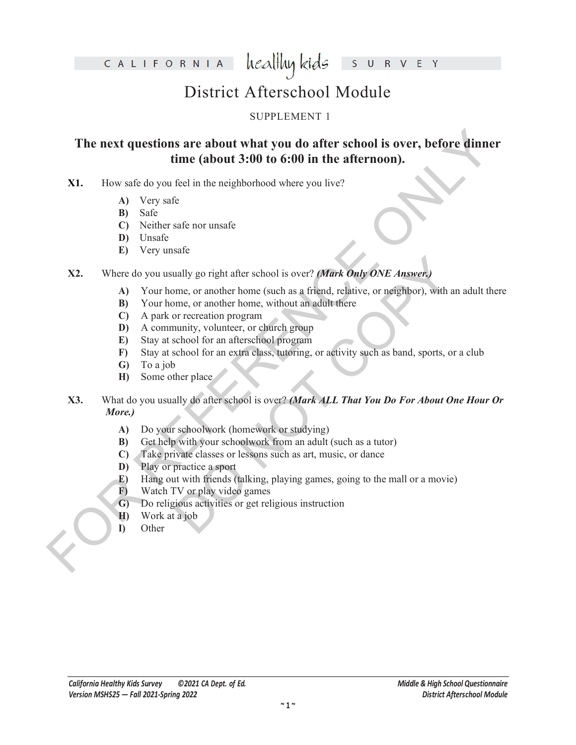CALIFORNIA

healthy kids  $\mathsf{S}$ V E Y  $\overline{\mathsf{R}}$ 

## District Afterschool Module

### SUPPLEMENT 1

# The next questions are about what you do after school is over, before dinner<br>
time (about 3:00 to 6:00 in the afternoon).<br>
X1. How safe do you tech in the neighborhood where you live?<br>
A) Very safe.<br>
B) Safe<br>
O recidents **The next questions are about what you do after school is over, before dinner time (about 3:00 to 6:00 in the afternoon).**

- **X1.** How safe do you feel in the neighborhood where you live?
	- **A)** Very safe
	- **B)** Safe
	- **C)** Neither safe nor unsafe
	- **D)** Unsafe
	- **E)** Very unsafe
- **X2.** Where do you usually go right after school is over? *(Mark Only ONE Answer.)*
	- **A)** Your home, or another home (such as a friend, relative, or neighbor), with an adult there
	- **B)** Your home, or another home, without an adult there
	- **C)** A park or recreation program
	- **D)** A community, volunteer, or church group
	- **E)** Stay at school for an afterschool program
	- **F)** Stay at school for an extra class, tutoring, or activity such as band, sports, or a club
	- **G)** To a job
	- **H)** Some other place
- ually go right after school is over? (*Mark Only ONE Answer.*)<br>mme, or another home (such as a friend, relative, or neighbor), with an<br>me, or another home, without an adult there<br>or recreation program<br>school for an aftersc **X3.** What do you usually do after school is over? *(Mark ALL That You Do For About One Hour Or More.)*
	- **A)** Do your schoolwork (homework or studying)
	- **B)** Get help with your schoolwork from an adult (such as a tutor)
	- **C)** Take private classes or lessons such as art, music, or dance
	- **D)** Play or practice a sport
	- **E)** Hang out with friends (talking, playing games, going to the mall or a movie)
	- **F)** Watch TV or play video games
	- **G)** Do religious activities or get religious instruction
	- **H)** Work at a job
	- **I)** Other